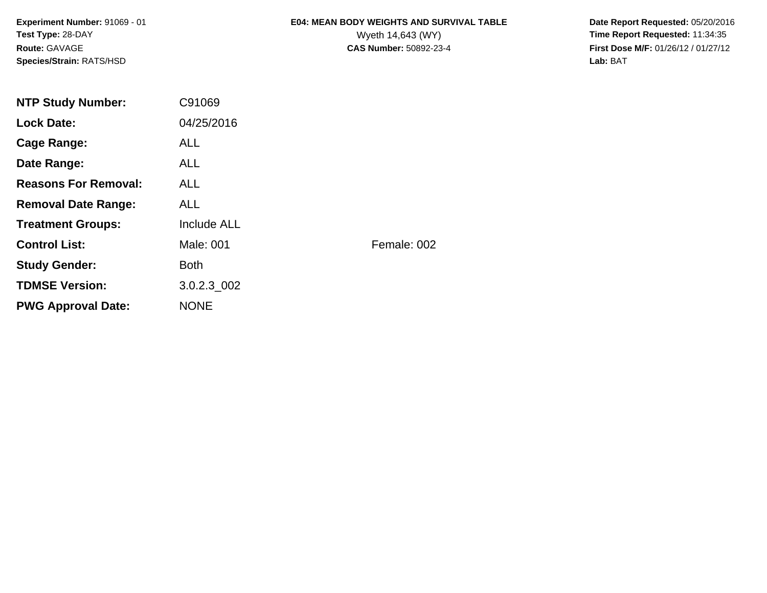**Experiment Number:** 91069 - 01**Test Type:** 28-DAY**Route:** GAVAGE**Species/Strain:** RATS/HSD

# **E04: MEAN BODY WEIGHTS AND SURVIVAL TABLE**

 **Date Report Requested:** 05/20/2016 Wyeth 14,643 (WY) **Time Report Requested:** 11:34:35<br>**CAS Number:** 50892-23-4 **Time Report Requested:** 11:34:35 **First Dose M/F:** 01/26/12 / 01/27/12<br>**Lab:** BAT **Lab:** BAT

| <b>NTP Study Number:</b>    | C91069             |             |
|-----------------------------|--------------------|-------------|
| <b>Lock Date:</b>           | 04/25/2016         |             |
| Cage Range:                 | <b>ALL</b>         |             |
| Date Range:                 | ALL.               |             |
| <b>Reasons For Removal:</b> | ALL.               |             |
| <b>Removal Date Range:</b>  | <b>ALL</b>         |             |
| <b>Treatment Groups:</b>    | <b>Include ALL</b> |             |
| <b>Control List:</b>        | Male: 001          | Female: 002 |
| <b>Study Gender:</b>        | <b>Both</b>        |             |
| <b>TDMSE Version:</b>       | 3.0.2.3 002        |             |
| <b>PWG Approval Date:</b>   | <b>NONE</b>        |             |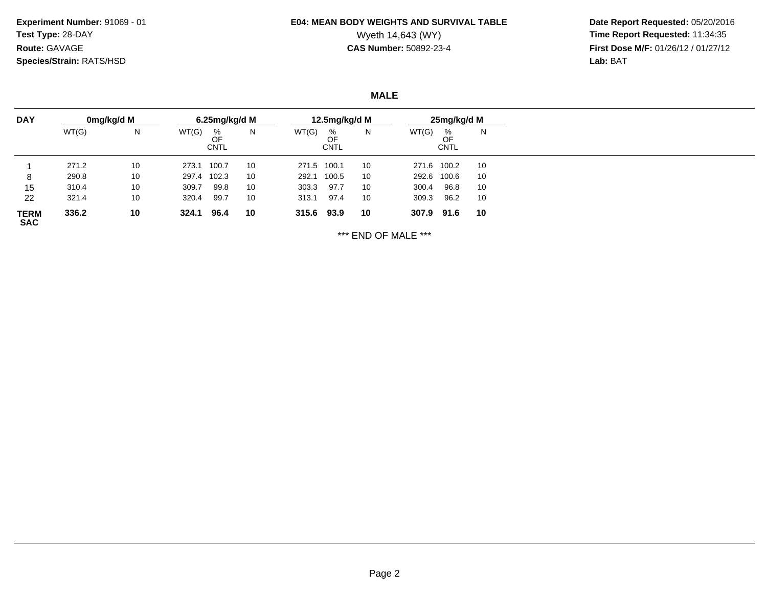**Experiment Number:** 91069 - 01**Test Type:** 28-DAY**Route:** GAVAGE**Species/Strain:** RATS/HSD

# **E04: MEAN BODY WEIGHTS AND SURVIVAL TABLE**

 **Date Report Requested:** 05/20/2016 Wyeth 14,643 (WY) **Time Report Requested:** 11:34:35<br>**CAS Number:** 50892-23-4 **Time Report Requested:** 11:34:35 **First Dose M/F:** 01/26/12 / 01/27/12<br>Lab: BAT **Lab:** BAT

**MALE**

| <b>DAY</b>                | 0mg/kg/d M |    | 6.25mg/kg/d M |                        |    | 12.5mg/kg/d M |                        |    |       | 25mg/kg/d M            |    |  |
|---------------------------|------------|----|---------------|------------------------|----|---------------|------------------------|----|-------|------------------------|----|--|
|                           | WT(G)      | N  | WT(G)         | %<br>OF<br><b>CNTL</b> | N  | WT(G)         | %<br>OF<br><b>CNTL</b> | N  | WT(G) | %<br>OF<br><b>CNTL</b> | N  |  |
|                           | 271.2      | 10 | 273.1         | 100.7                  | 10 | 271.5 100.1   |                        | 10 |       | 271.6 100.2            | 10 |  |
| 8                         | 290.8      | 10 | 297.4         | 102.3                  | 10 | 292.1         | 100.5                  | 10 |       | 292.6 100.6            | 10 |  |
| 15                        | 310.4      | 10 | 309.7         | 99.8                   | 10 | 303.3         | 97.7                   | 10 | 300.4 | 96.8                   | 10 |  |
| 22                        | 321.4      | 10 | 320.4         | 99.7                   | 10 | 313.1         | 97.4                   | 10 | 309.3 | 96.2                   | 10 |  |
| <b>TERM</b><br><b>SAC</b> | 336.2      | 10 | 324.1         | 96.4                   | 10 | 315.6 93.9    |                        | 10 | 307.9 | 91.6                   | 10 |  |

\*\*\* END OF MALE \*\*\*